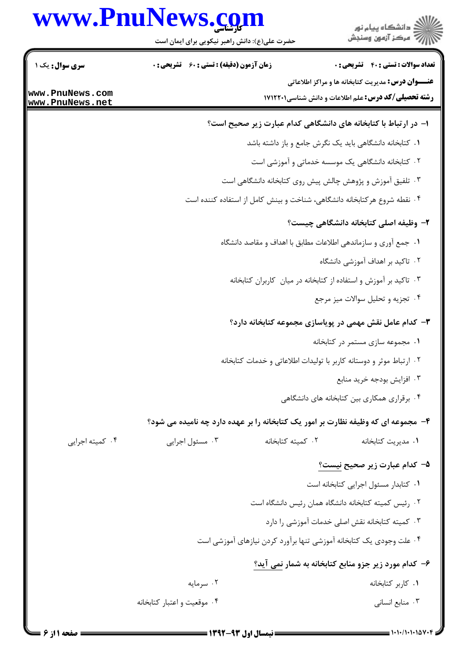# www.PnuNews.com



| <b>سری سوال :</b> یک ۱             |                             | <b>زمان آزمون (دقیقه) : تستی : 60 ٪ تشریحی : 0</b>                       |                   | <b>تعداد سوالات : تستی : 40 - تشریحی : 0</b>                                                                           |
|------------------------------------|-----------------------------|--------------------------------------------------------------------------|-------------------|------------------------------------------------------------------------------------------------------------------------|
| www.PnuNews.com<br>www.PnuNews.net |                             |                                                                          |                   | <b>عنـــوان درس:</b> مدیریت کتابخانه ها و مراکز اطلاعاتی<br><b>رشته تحصیلی/کد درس:</b> علم اطلاعات و دانش شناسی1۷۱۲۲۰۱ |
|                                    |                             |                                                                          |                   | ا– در ارتباط با کتابخانه های دانشگاهی کدام عبارت زیر صحیح است؟                                                         |
|                                    |                             |                                                                          |                   | ٠. كتابخانه دانشگاهي بايد يک نگرش جامع و باز داشته باشد                                                                |
|                                    |                             |                                                                          |                   | ۰۲ کتابخانه دانشگاهی یک موسسه خدماتی و آموزشی است                                                                      |
|                                    |                             |                                                                          |                   | ۰۳ تلفیق آموزش و پژوهش چالش پیش روی کتابخانه دانشگاهی است                                                              |
|                                    |                             | ۰۴ نقطه شروع هركتابخانه دانشگاهي، شناخت و بينش كامل از استفاده كننده است |                   |                                                                                                                        |
|                                    |                             |                                                                          |                   | ۲– وظیفه اصلی کتابخانه دانشگاهی چیست؟                                                                                  |
|                                    |                             |                                                                          |                   | ٠١ جمع آوري و سازماندهي اطلاعات مطابق با اهداف و مقاصد دانشگاه                                                         |
|                                    |                             |                                                                          |                   | ۲.  تاکید بر اهداف آموزشی دانشگاه                                                                                      |
|                                    |                             |                                                                          |                   | ۰۳ تاکید بر آموزش و استفاده از کتابخانه در میان کاربران کتابخانه                                                       |
|                                    |                             |                                                                          |                   | ۰۴ تجزیه و تحلیل سوالات میز مرجع                                                                                       |
|                                    |                             |                                                                          |                   | ۳- کدام عامل نقش مهمی در پویاسازی مجموعه کتابخانه دارد؟                                                                |
|                                    |                             |                                                                          |                   | ۰۱ مجموعه سازی مستمر در کتابخانه                                                                                       |
|                                    |                             |                                                                          |                   | ٠٢ ارتباط موثر و دوستانه كاربر با توليدات اطلاعاتي و خدمات كتابخانه                                                    |
|                                    |                             |                                                                          |                   | ۰۳ افزايش بودجه خريد منابع                                                                                             |
|                                    |                             |                                                                          |                   | ۰۴ برقراری همکاری بین کتابخانه های دانشگاهی                                                                            |
|                                    |                             |                                                                          |                   | ۴- مجموعه ای که وظیفه نظارت بر امور یک کتابخانه را بر عهده دارد چه نامیده می شود؟                                      |
| ۰۴ کمیته اجرایی                    |                             | ۰۳ مسئول اجرایی                                                          | ٠٢ كميته كتابخانه | ۰۱ مدیریت کتابخانه                                                                                                     |
|                                    |                             |                                                                          |                   | ۵– کدام عبارت زیر صحیح <u>نیست؟</u>                                                                                    |
|                                    |                             |                                                                          |                   | ٠١ كتابدار مسئول اجرايي كتابخانه است                                                                                   |
|                                    |                             |                                                                          |                   | ٠٢ رئيس كميته كتابخانه دانشگاه همان رئيس دانشگاه است                                                                   |
|                                    |                             |                                                                          |                   | ۰۳ کمیته کتابخانه نقش اصلی خدمات آموزشی را دارد                                                                        |
|                                    |                             |                                                                          |                   | ۰۴ علت وجودی یک کتابخانه آموزشی تنها برآورد کردن نیازهای آموزشی است                                                    |
|                                    |                             |                                                                          |                   | ۶- کدام مورد زیر جزو منابع کتابخانه به شمار نمی آید؟                                                                   |
|                                    |                             | ۰۲ سرمايه                                                                |                   | ٠١. كاربر كتابخانه                                                                                                     |
|                                    | ۰۴ موقعیت و اعتبار کتابخانه |                                                                          |                   | ۰۳ منابع انسانی                                                                                                        |

حضرت علی(ع): دانش راهبر نیکویی برای ایمان است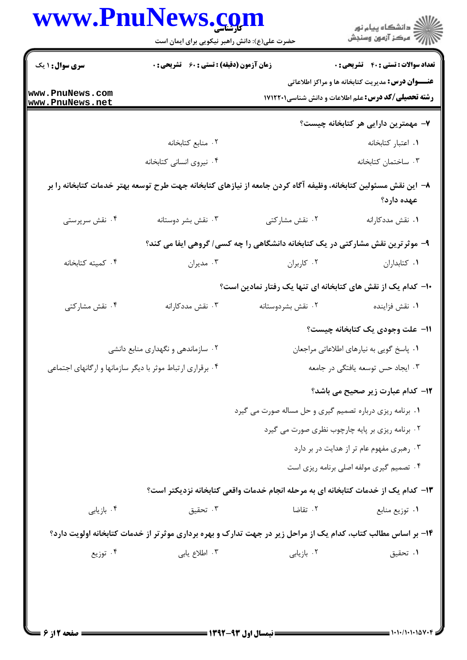| <b>زمان آزمون (دقیقه) : تستی : 60 ٪ تشریحی : 0</b><br><b>سری سوال : ۱ یک</b><br><b>عنـــوان درس:</b> مدیریت کتابخانه ها و مراکز اطلاعاتی<br>www.PnuNews.com<br><b>رشته تحصیلی/کد درس:</b> علم اطلاعات و دانش شناسی1۷۱۲۲۰۱<br>www.PnuNews.net<br>۷– مهمترین دارایی هر کتابخانه چیست؟<br>٠٢ منابع كتابخانه<br>٠١. اعتبار كتابخانه<br>۰۴ نیروی انسانی کتابخانه<br>۰۳ ساختمان كتابخانه<br>۸− این نقش مسئولین کتابخانه، وظیفه آگاه کردن جامعه از نیازهای کتابخانه جهت طرح توسعه بهتر خدمات کتابخانه را بر<br>عهده دارد؟<br>۰۳ نقش بشر دوستانه<br>۰۲ نقش مشارکتی<br>۰۴ نقش سرپرستی<br>٠١ نقش مددكارانه<br>۹- موثرترین نقش مشارکتی در یک کتابخانه دانشگاهی را چه کسی/ گروهی ایفا می کند؟<br>۰۴ کمیته کتابخانه<br>٠٢ کاربران<br>٠١. كتابداران<br>۰۳ مديران<br>∙ا– کدام یک از نقش های کتابخانه ای تنها یک رفتار نمادین است؟<br>۰۴ نقش مشاركتي<br>۰۳ نقش مددکارانه<br>۰۲ نقش بشردوستانه<br>۰۱ نقش فزاينده<br>1۱– علت وجودی یک کتابخانه چیست؟<br>۰۲ سازماندهی و نگهداری منابع دانشی<br>۰۱ پاسخ گویی به نیارهای اطلاعاتی مراجعان<br>۰۳ ایجاد حس توسعه یافتگی در جامعه<br>۰۴ برقراری ارتباط موثر با دیگر سازمانها و ارگانهای اجتماعی<br>12- كدام عبارت زير صحيح مي باشد؟<br>۰۱ برنامه ریزی درباره تصمیم گیری و حل مساله صورت می گیرد<br>۰۲ برنامه ریزی بر پایه چارچوب نظری صورت می گیرد<br>۰۳ رهبری مفهوم عام تر از هدایت در بر دارد<br>۰۴ تصمیم گیری مولفه اصلی برنامه ریزی است<br>۱۳– کدام یک از خدمات کتابخانه ای به مرحله انجام خدمات واقعی کتابخانه نزدیکتر است؟<br>۰۲ تقاضا<br>۰۴ بازیابی<br>۰۳ تحقیق<br>۰۱ توزیع منابع<br>۱۴- بر اساس مطالب کتاب، کدام یک از مراحل زیر در جهت تدارک و بهره برداری موثرتر از خدمات کتابخانه اولویت دارد؟<br>۰۴ توزیع<br>۰۳ اطلاع یابی<br>۰۲ بازیابی | www.PnuNews.com<br>حضرت علی(ع): دانش راهبر نیکویی برای ایمان است | ِ<br>∭ دانشڪاه پيام نور<br>∭ مرڪز آزمون وسنڊش |
|------------------------------------------------------------------------------------------------------------------------------------------------------------------------------------------------------------------------------------------------------------------------------------------------------------------------------------------------------------------------------------------------------------------------------------------------------------------------------------------------------------------------------------------------------------------------------------------------------------------------------------------------------------------------------------------------------------------------------------------------------------------------------------------------------------------------------------------------------------------------------------------------------------------------------------------------------------------------------------------------------------------------------------------------------------------------------------------------------------------------------------------------------------------------------------------------------------------------------------------------------------------------------------------------------------------------------------------------------------------------------------------------------------------------------------------------------------------------------------------------------------------------------------------------------------------------------------------------------------------------------------------------------------------------------|------------------------------------------------------------------|-----------------------------------------------|
|                                                                                                                                                                                                                                                                                                                                                                                                                                                                                                                                                                                                                                                                                                                                                                                                                                                                                                                                                                                                                                                                                                                                                                                                                                                                                                                                                                                                                                                                                                                                                                                                                                                                              |                                                                  | <b>تعداد سوالات : تستي : 40 - تشريحي : 0</b>  |
|                                                                                                                                                                                                                                                                                                                                                                                                                                                                                                                                                                                                                                                                                                                                                                                                                                                                                                                                                                                                                                                                                                                                                                                                                                                                                                                                                                                                                                                                                                                                                                                                                                                                              |                                                                  |                                               |
|                                                                                                                                                                                                                                                                                                                                                                                                                                                                                                                                                                                                                                                                                                                                                                                                                                                                                                                                                                                                                                                                                                                                                                                                                                                                                                                                                                                                                                                                                                                                                                                                                                                                              |                                                                  |                                               |
|                                                                                                                                                                                                                                                                                                                                                                                                                                                                                                                                                                                                                                                                                                                                                                                                                                                                                                                                                                                                                                                                                                                                                                                                                                                                                                                                                                                                                                                                                                                                                                                                                                                                              |                                                                  |                                               |
|                                                                                                                                                                                                                                                                                                                                                                                                                                                                                                                                                                                                                                                                                                                                                                                                                                                                                                                                                                                                                                                                                                                                                                                                                                                                                                                                                                                                                                                                                                                                                                                                                                                                              |                                                                  |                                               |
|                                                                                                                                                                                                                                                                                                                                                                                                                                                                                                                                                                                                                                                                                                                                                                                                                                                                                                                                                                                                                                                                                                                                                                                                                                                                                                                                                                                                                                                                                                                                                                                                                                                                              |                                                                  |                                               |
|                                                                                                                                                                                                                                                                                                                                                                                                                                                                                                                                                                                                                                                                                                                                                                                                                                                                                                                                                                                                                                                                                                                                                                                                                                                                                                                                                                                                                                                                                                                                                                                                                                                                              |                                                                  |                                               |
|                                                                                                                                                                                                                                                                                                                                                                                                                                                                                                                                                                                                                                                                                                                                                                                                                                                                                                                                                                                                                                                                                                                                                                                                                                                                                                                                                                                                                                                                                                                                                                                                                                                                              |                                                                  |                                               |
|                                                                                                                                                                                                                                                                                                                                                                                                                                                                                                                                                                                                                                                                                                                                                                                                                                                                                                                                                                                                                                                                                                                                                                                                                                                                                                                                                                                                                                                                                                                                                                                                                                                                              |                                                                  |                                               |
|                                                                                                                                                                                                                                                                                                                                                                                                                                                                                                                                                                                                                                                                                                                                                                                                                                                                                                                                                                                                                                                                                                                                                                                                                                                                                                                                                                                                                                                                                                                                                                                                                                                                              |                                                                  |                                               |
|                                                                                                                                                                                                                                                                                                                                                                                                                                                                                                                                                                                                                                                                                                                                                                                                                                                                                                                                                                                                                                                                                                                                                                                                                                                                                                                                                                                                                                                                                                                                                                                                                                                                              |                                                                  |                                               |
|                                                                                                                                                                                                                                                                                                                                                                                                                                                                                                                                                                                                                                                                                                                                                                                                                                                                                                                                                                                                                                                                                                                                                                                                                                                                                                                                                                                                                                                                                                                                                                                                                                                                              |                                                                  |                                               |
|                                                                                                                                                                                                                                                                                                                                                                                                                                                                                                                                                                                                                                                                                                                                                                                                                                                                                                                                                                                                                                                                                                                                                                                                                                                                                                                                                                                                                                                                                                                                                                                                                                                                              |                                                                  |                                               |
|                                                                                                                                                                                                                                                                                                                                                                                                                                                                                                                                                                                                                                                                                                                                                                                                                                                                                                                                                                                                                                                                                                                                                                                                                                                                                                                                                                                                                                                                                                                                                                                                                                                                              |                                                                  |                                               |
|                                                                                                                                                                                                                                                                                                                                                                                                                                                                                                                                                                                                                                                                                                                                                                                                                                                                                                                                                                                                                                                                                                                                                                                                                                                                                                                                                                                                                                                                                                                                                                                                                                                                              |                                                                  |                                               |
|                                                                                                                                                                                                                                                                                                                                                                                                                                                                                                                                                                                                                                                                                                                                                                                                                                                                                                                                                                                                                                                                                                                                                                                                                                                                                                                                                                                                                                                                                                                                                                                                                                                                              |                                                                  |                                               |
|                                                                                                                                                                                                                                                                                                                                                                                                                                                                                                                                                                                                                                                                                                                                                                                                                                                                                                                                                                                                                                                                                                                                                                                                                                                                                                                                                                                                                                                                                                                                                                                                                                                                              |                                                                  |                                               |
|                                                                                                                                                                                                                                                                                                                                                                                                                                                                                                                                                                                                                                                                                                                                                                                                                                                                                                                                                                                                                                                                                                                                                                                                                                                                                                                                                                                                                                                                                                                                                                                                                                                                              |                                                                  |                                               |
|                                                                                                                                                                                                                                                                                                                                                                                                                                                                                                                                                                                                                                                                                                                                                                                                                                                                                                                                                                                                                                                                                                                                                                                                                                                                                                                                                                                                                                                                                                                                                                                                                                                                              |                                                                  |                                               |
|                                                                                                                                                                                                                                                                                                                                                                                                                                                                                                                                                                                                                                                                                                                                                                                                                                                                                                                                                                                                                                                                                                                                                                                                                                                                                                                                                                                                                                                                                                                                                                                                                                                                              |                                                                  |                                               |
|                                                                                                                                                                                                                                                                                                                                                                                                                                                                                                                                                                                                                                                                                                                                                                                                                                                                                                                                                                                                                                                                                                                                                                                                                                                                                                                                                                                                                                                                                                                                                                                                                                                                              |                                                                  |                                               |
|                                                                                                                                                                                                                                                                                                                                                                                                                                                                                                                                                                                                                                                                                                                                                                                                                                                                                                                                                                                                                                                                                                                                                                                                                                                                                                                                                                                                                                                                                                                                                                                                                                                                              |                                                                  |                                               |
|                                                                                                                                                                                                                                                                                                                                                                                                                                                                                                                                                                                                                                                                                                                                                                                                                                                                                                                                                                                                                                                                                                                                                                                                                                                                                                                                                                                                                                                                                                                                                                                                                                                                              |                                                                  | ٠١ تحقيق                                      |
|                                                                                                                                                                                                                                                                                                                                                                                                                                                                                                                                                                                                                                                                                                                                                                                                                                                                                                                                                                                                                                                                                                                                                                                                                                                                                                                                                                                                                                                                                                                                                                                                                                                                              |                                                                  |                                               |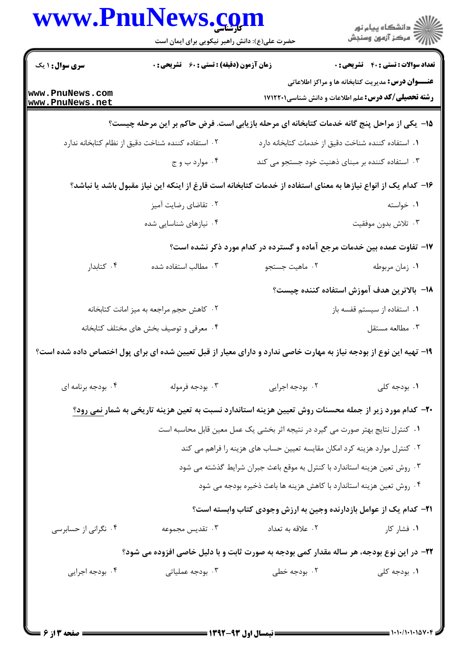|                                    | حضرت علی(ع): دانش راهبر نیکویی برای ایمان است      |                                                                                                                    | ان دانشگاه پيام نور<br>اس مرکز آزمون وسنجش                                                                             |
|------------------------------------|----------------------------------------------------|--------------------------------------------------------------------------------------------------------------------|------------------------------------------------------------------------------------------------------------------------|
| سری سوال: ۱ یک                     | <b>زمان آزمون (دقیقه) : تستی : 60 ٪ تشریحی : 0</b> |                                                                                                                    | <b>تعداد سوالات : تستی : 40 قشریحی : 0</b>                                                                             |
| www.PnuNews.com<br>www.PnuNews.net |                                                    |                                                                                                                    | <b>عنـــوان درس:</b> مدیریت کتابخانه ها و مراکز اطلاعاتی<br><b>رشته تحصیلی/کد درس:</b> علم اطلاعات و دانش شناسی1۷۱۲۲۰۱ |
|                                    |                                                    | ۱۵− یکی از مراحل پنج گانه خدمات کتابخانه ای مرحله بازیابی است. فرض حاکم بر این مرحله چیست؟                         |                                                                                                                        |
|                                    | ۰۲ استفاده کننده شناخت دقیق از نظام کتابخانه ندارد | ٠١. استفاده كننده شناخت دقيق از خدمات كتابخانه دارد                                                                |                                                                                                                        |
|                                    | ۰۴ موارد ب و ج                                     | ۰۳ استفاده کننده بر مبنای ذهنیت خود جستجو می کند                                                                   |                                                                                                                        |
|                                    |                                                    | ۱۶– کدام یک از انواع نیازها به معنای استفاده از خدمات کتابخانه است فارغ از اینکه این نیاز مقبول باشد یا نباشد؟     |                                                                                                                        |
|                                    | ۰۲ تقاضای رضایت آمیز                               |                                                                                                                    | ۰۱ خواسته                                                                                                              |
|                                    | ۰۴ نیازهای شناسایی شده                             |                                                                                                                    | ۰۳ تلاش بدون موفقيت                                                                                                    |
|                                    |                                                    | ۱۷- تفاوت عمده بین خدمات مرجع آماده و گسترده در کدام مورد ذکر نشده است؟                                            |                                                                                                                        |
| ۰۴ کتابدار                         | ۰۳ مطالب استفاده شده                               | ۰۲ ماهيت جستجو                                                                                                     | ٠١ زمان مربوطه                                                                                                         |
|                                    |                                                    |                                                                                                                    | ١٨− بالاترين هدف آموزش استفاده كننده چيست؟                                                                             |
|                                    | ٠٢ كاهش حجم مراجعه به ميز امانت كتابخانه           |                                                                                                                    | ٠١ استفاده از سيستم قفسه باز                                                                                           |
|                                    | ۰۴ معرفی و توصیف بخش های مختلف کتابخانه            |                                                                                                                    | ۰۳ مطالعه مستقل                                                                                                        |
|                                    |                                                    | ۱۹- تهیه این نوع از بودجه نیاز به مهارت خاصی ندارد و دارای معیار از قبل تعیین شده ای برای پول اختصاص داده شده است؟ |                                                                                                                        |
| ۰۴ بودجه برنامه ای                 | ۰۳ بودجه فرموله                                    | ۰۲ بودجه اجرایی                                                                                                    | ۰۱ بودجه کلی                                                                                                           |
|                                    |                                                    | <b>۳۰</b> کدام مورد زیر از جمله محسنات روش تعیین هزینه استاندارد نسبت به تعین هزینه تاریخی به شمار <u>نمی رود؟</u> |                                                                                                                        |
|                                    |                                                    | ۰۱ کنترل نتایج بهتر صورت می گیرد در نتیجه اثر بخشی یک عمل معین قابل محاسبه است                                     |                                                                                                                        |
|                                    |                                                    | ۰۲ کنترل موارد هزینه کرد امکان مقایسه تعیین حساب های هزینه را فراهم می کند                                         |                                                                                                                        |
|                                    |                                                    | ۰۳ روش تعین هزینه استاندارد با کنترل به موقع باعث جبران شرایط گذشته می شود                                         |                                                                                                                        |
|                                    |                                                    | ۰۴ روش تعین هزینه استاندارد با کاهش هزینه ها باعث ذخیره بودجه می شود                                               |                                                                                                                        |
|                                    |                                                    | <b>۲۱</b> - کدام یک از عوامل بازدارنده وجین به ارزش وجودی کتاب وابسته است؟                                         |                                                                                                                        |
| ۰۴ نگرانی از حسابرسی               | ۰۳ تقديس مجموعه                                    | ٠٢ علاقه به تعداد                                                                                                  | ۰۱ فشار کار                                                                                                            |
|                                    |                                                    | ۲۲- در این نوع بودجه، هر ساله مقدار کمی بودجه به صورت ثابت و با دلیل خاصی افزوده می شود؟                           |                                                                                                                        |
| ۰۴ بودجه اجرای <sub>ی</sub>        | ۰۳ بودجه عملیاتی                                   | ۰۲ بودجه خطی                                                                                                       | ۰۱ بودجه کل <sub>ی</sub>                                                                                               |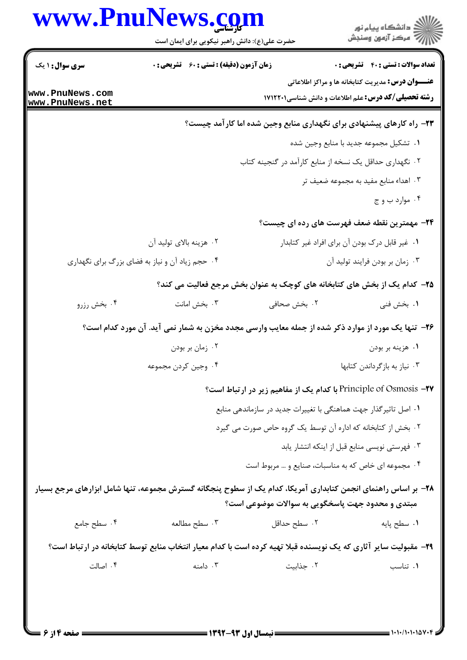|                                    | www.PnuNews.com<br>حضرت علی(ع): دانش راهبر نیکویی برای ایمان است                                                |                                                                  | ڪ دانشڪاه پيام نور<br>/7 مرڪز آزمون وسنڊش                                                                              |
|------------------------------------|-----------------------------------------------------------------------------------------------------------------|------------------------------------------------------------------|------------------------------------------------------------------------------------------------------------------------|
| <b>سری سوال : ۱ یک</b>             | <b>زمان آزمون (دقیقه) : تستی : 60 ٪ تشریحی : 0</b>                                                              |                                                                  | <b>تعداد سوالات : تستی : 40 قشریحی : 0</b>                                                                             |
| www.PnuNews.com<br>www.PnuNews.net |                                                                                                                 |                                                                  | <b>عنـــوان درس:</b> مدیریت کتابخانه ها و مراکز اطلاعاتی<br><b>رشته تحصیلی/کد درس:</b> علم اطلاعات و دانش شناسی1۷۱۲۲۰۱ |
|                                    |                                                                                                                 |                                                                  | ۲۳- راه کارهای پیشنهادی برای نگهداری منابع وجین شده اما کارآمد چیست؟                                                   |
|                                    |                                                                                                                 |                                                                  | ٠١. تشكيل مجموعه جديد با منابع وجين شده                                                                                |
|                                    |                                                                                                                 | ۰۲ نگهداری حداقل یک نسخه از منابع کارآمد در گنجینه کتاب          |                                                                                                                        |
|                                    |                                                                                                                 |                                                                  | ۰۳ اهداء منابع مفید به مجموعه ضعیف تر                                                                                  |
|                                    |                                                                                                                 |                                                                  | ۰۴ موارد ب و ج                                                                                                         |
|                                    |                                                                                                                 |                                                                  | <b>۳۴</b> - مهمترین نقطه ضعف فهرست های رده ای چیست؟                                                                    |
|                                    | ۰۲ هزينه بالاي توليد آن                                                                                         |                                                                  | ۰۱ غیر قابل درک بودن آن برای افراد غیر کتابدار                                                                         |
|                                    | ۰۴ حجم زیاد آن و نیاز به فضای بزرگ برای نگهداری                                                                 |                                                                  | ۰۳ زمان بر بودن فرايند توليد آن                                                                                        |
|                                    | ۲۵- کدام یک از بخش های کتابخانه های کوچک به عنوان بخش مرجع فعالیت می کند؟                                       |                                                                  |                                                                                                                        |
| ۰۴ بخش رزرو                        | ۰۳ بخش امانت                                                                                                    | ۰۲ بخش صحافی                                                     | ۰۱ بخش فنی                                                                                                             |
|                                    | ۲۶- تنها یک مورد از موارد ذکر شده از جمله معایب وارسی مجدد مخزن به شمار نمی آید. آن مورد کدام است؟              |                                                                  |                                                                                                                        |
|                                    | ۰۲ زمان بر بودن                                                                                                 |                                                                  | ۰۱ هزينه بر بودن                                                                                                       |
|                                    | ۰۴ وجین کردن مجموعه                                                                                             |                                                                  | ۰۳ نیاز به بازگرداندن کتابها                                                                                           |
|                                    |                                                                                                                 |                                                                  | <b>Principle of Osmosis -۲۷ با کدام یک از مفاهیم زیر در ارتباط است؟</b>                                                |
|                                    |                                                                                                                 | ۰۱ اصل تاثیر گذار جهت هماهنگی با تغییرات جدید در سازماندهی منابع |                                                                                                                        |
|                                    |                                                                                                                 | ۰۲ بخش از کتابخانه که اداره آن توسط یک گروه حاص صورت می گیرد     |                                                                                                                        |
|                                    |                                                                                                                 |                                                                  | ۰۳ فهرستی نویسی منابع قبل از اینکه انتشار یابد                                                                         |
|                                    |                                                                                                                 | ۰۴ مجموعه ای خاص که به مناسبات، صنایع و … مربوط است              |                                                                                                                        |
|                                    | ۲۸– بر اساس راهنمای انجمن کتابداری آمریکا، کدام یک از سطوح پنجگانه گسترش مجموعه، تنها شامل ابزارهای مرجع بسیار  | مبتدی و محدود جهت پاسخگویی به سوالات موضوعی است؟                 |                                                                                                                        |
| ۰۴ سطح جامع                        | ۰۳ سطح مطالعه                                                                                                   | ۰۲ سطح حداقل                                                     | ٠١ سطح پايه                                                                                                            |
|                                    | ۲۹– مقبولیت سایر آثاری که یک نویسنده قبلا تهیه کرده است با کدام معیار انتخاب منابع توسط کتابخانه در ارتباط است؟ |                                                                  |                                                                                                                        |
| ۰۴ اصالت                           | ۰۳ دامنه                                                                                                        | ۰۲ جذابیت                                                        | ٠١. تناسب                                                                                                              |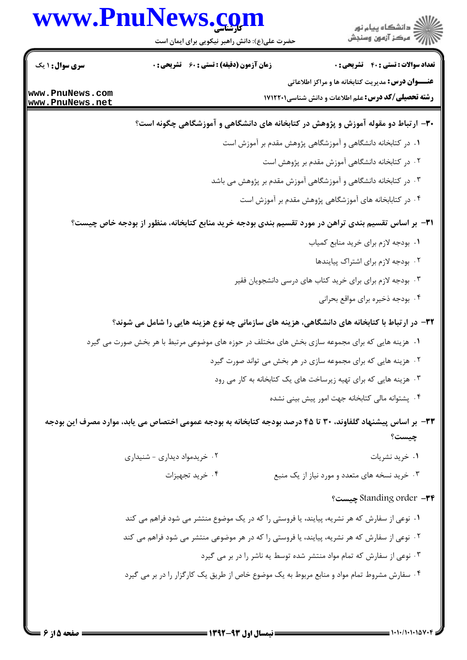## www.PnuNews.com

.<br>د انشگاه پیام نور ے<br>کا مرکز آزمون وسنجش

حضرت علی(ع): دانش راهبر نیکویی برای ایمان است

**تعداد سوالات : تستی : 40 - تشریحی : 0** 

**عنـــوان درس:** مدیریت کتابخانه ها و مراکز اطلاعاتی

**رشته تحصیلی/کد درس:** علم اطلاعات و دانش شناسی121221 ۱۷

**زمان آزمون (دقیقه) : تستی : 60 گشریحی: 0** 

**سری سوال : ۱ یک** 

www.PnuNews.com www.PnuNews.net

### ۳۰- ارتباط دو مقوله آموزش و پژوهش در کتابخانه های دانشگاهی و آموزشگاهی چگونه است؟

- ١. در كتابخانه دانشگاهي و آموزشگاهي پژوهش مقدم بر آموزش است
	- ۰۲ در کتابخانه دانشگاهی آموزش مقدم بر پژوهش است
- ۰۳ در کتابخانه دانشگاهی و آموزشگاهی آموزش مقدم بر پژوهش می باشد
	- ۰۴ در کتابابخانه های آموزشگاهی پژوهش مقدم بر آموزش است

۳۱− بر اساس تقسیم بندی تراهن در مورد تقسیم بندی بودجه خرید منابع کتابخانه، منظور از بودجه خاص چیست؟

- ٠١. بودجه لازم براي خريد منابع كمياب
	- ۲. بودجه لازم برای اشتراک پیایندها
- ۰۳ بودجه لازم برای برای خرید کتاب های درسی دانشجویان فقیر
	- ۰۴ بودجه ذخیره برای مواقع بحرانی

۳۲- در ارتباط با کتابخانه های دانشگاهی، هزینه های سازمانی چه نوع هزینه هایی را شامل می شوند؟

- ۱. هزینه هایی که برای مجموعه سازی بخش های مختلف در حوزه های موضوعی مرتبط با هر بخش صورت می گیرد
	- ۰۲ هزینه هایی که برای مجموعه سازی در هر بخش می تواند صورت گیرد
	- ۰۳ هزینه هایی که برای تهیه زیرساخت های یک کتابخانه به کار می رود
		- ۰۴ پشتوانه مالی کتابخانه جهت امور پیش بینی نشده

### ٣٣– بر اساس پیشنهاد گلفاوند، ٣٠ تا ۴۵ درصد بودجه کتابخانه به بودجه عمومی اختصاص می یابد، موارد مصرف این بودجه چیست؟

- ۰۲ خریدمواد دیداری شنیداری ۰۱ خرید نشریات
	- ۰۴ خرید تجهیزات ۰۳ خرید نسخه های متعدد و مورد نیاز از یک منبع

#### Standing order -٣۴ چیست؟

١. نوعي از سفارش كه هر نشريه، پيايند، يا فروستي را كه در يك موضوع منتشر مي شود فراهم مي كند ۲ . نوعی از سفارش که هر نشریه، پیایند، یا فروستی را که در هر موضوعی منتشر می شود فراهم می کند ۰۳ نوعی از سفارش که تمام مواد منتشر شده توسط یه ناشر را در بر می گیرد ۰۴ سفارش مشروط تمام مواد و منابع مربوط به یک موضوع خاص از طریق یک کارگزار را در بر می گیرد